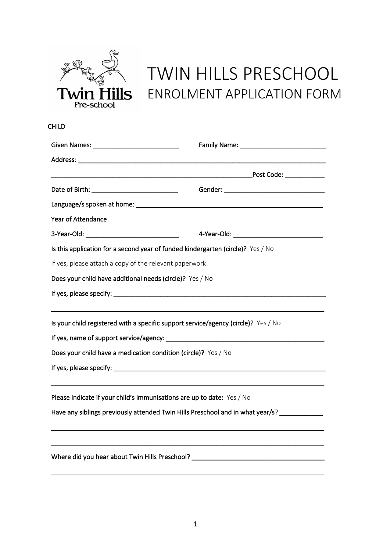

# TWIN HILLS PRESCHOOL ENROLMENT APPLICATION FORM

CHILD

| <b>Year of Attendance</b>                                                                   |  |
|---------------------------------------------------------------------------------------------|--|
|                                                                                             |  |
| Is this application for a second year of funded kindergarten (circle)? Yes / No             |  |
| If yes, please attach a copy of the relevant paperwork                                      |  |
| Does your child have additional needs (circle)? Yes / No                                    |  |
|                                                                                             |  |
|                                                                                             |  |
| Is your child registered with a specific support service/agency (circle)? Yes / No          |  |
|                                                                                             |  |
| Does your child have a medication condition (circle)? Yes / No                              |  |
|                                                                                             |  |
|                                                                                             |  |
| Please indicate if your child's immunisations are up to date: Yes / No                      |  |
| Have any siblings previously attended Twin Hills Preschool and in what year/s? ____________ |  |
|                                                                                             |  |
|                                                                                             |  |
| Where did you hear about Twin Hills Preschool? _________________________________            |  |
|                                                                                             |  |